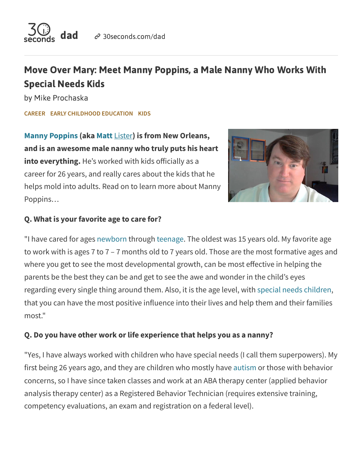

# Move Over Mary: Meet Manny Poppins, a Male Nanny Who Works With Special Needs Kids

by Mike Prochaska

**[CAREER](https://30seconds.com/dad/category/career/) EARLY [CHILDHOOD EDUCATION](https://30seconds.com/dad/category/early-childhood-education/) [KIDS](https://30seconds.com/dad/category/kids/)**

**Manny [Poppins](https://mannypoppins.pro/) (aka Matt** [Lister](https://30seconds.com/MLister/)**) is from New Orleans, and is an awesome male nanny who truly puts his heart into everything.** He's worked with kids officially as a career for 26 years, and really cares about the kids that he helps mold into adults. Read on to learn more about Manny Poppins…



#### **Q. What is your favorite age to care for?**

"I have cared for ages [newborn](https://30seconds.com/pregnancy/category/newborns/) through [teenage.](https://30seconds.com/mom/category/teens/) The oldest was 15 years old. My favorite age to work with is ages 7 to 7 – 7 months old to 7 years old. Those are the most formative ages and where you get to see the most developmental growth, can be most effective in helping the parents be the best they can be and get to see the awe and wonder in the child's eyes regarding every single thing around them. Also, it is the age level, with special needs [children,](https://30seconds.com/health/category/special-needs/) that you can have the most positive influence into their lives and help them and their families most."

#### **Q. Do you have other work or life experience that helps you as a nanny?**

"Yes, I have always worked with children who have special needs (I call them superpowers). My first being 26 years ago, and they are children who mostly have [autism](https://30seconds.com/search/autism) or those with behavior concerns, so I have since taken classes and work at an ABA therapy center (applied behavior analysis therapy center) as a Registered Behavior Technician (requires extensive training, competency evaluations, an exam and registration on a federal level).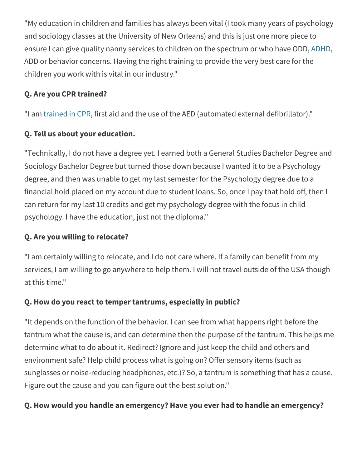"My education in children and families has always been vital (I took many years of psychology and sociology classes at the University of New Orleans) and this is just one more piece to ensure I can give quality nanny services to children on the spectrum or who have ODD, [ADHD](https://30seconds.com/search/ADHD), ADD or behavior concerns. Having the right training to provide the very best care for the children you work with is vital in our industry."

# **Q. Are you CPR trained?**

"I am [trained](https://30seconds.com/health/tip/17546/Infant-CPR-Video-Would-You-Know-What-to-Do-If-Your-Baby-Stopped-Breathing-Watch-This-ASAP) in CPR, first aid and the use of the AED (automated external defibrillator)."

# **Q. Tell us about your education.**

"Technically, I do not have a degree yet. I earned both a General Studies Bachelor Degree and Sociology Bachelor Degree but turned those down because I wanted it to be a Psychology degree, and then was unable to get my last semester for the Psychology degree due to a financial hold placed on my account due to student loans. So, once I pay that hold off, then I can return for my last 10 credits and get my psychology degree with the focus in child psychology. I have the education, just not the diploma."

### **Q. Are you willing to relocate?**

"I am certainly willing to relocate, and I do not care where. If a family can benefit from my services, I am willing to go anywhere to help them. I will not travel outside of the USA though at this time."

### **Q. How do you react to temper tantrums, especially in public?**

"It depends on the function of the behavior. I can see from what happens right before the tantrum what the cause is, and can determine then the purpose of the tantrum. This helps me determine what to do about it. Redirect? Ignore and just keep the child and others and environment safe? Help child process what is going on? Offer sensory items (such as sunglasses or noise-reducing headphones, etc.)? So, a tantrum is something that has a cause. Figure out the cause and you can figure out the best solution."

# **Q. How would you handle an emergency? Have you ever had to handle an emergency?**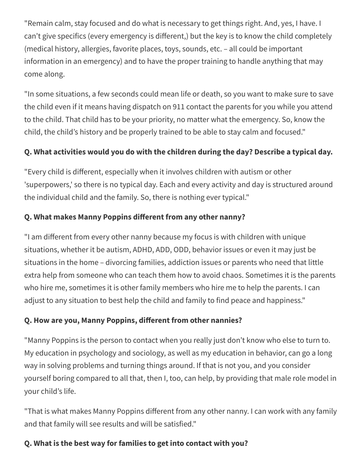"Remain calm, stay focused and do what is necessary to get things right. And, yes, I have. I can't give specifics (every emergency is different,) but the key is to know the child completely (medical history, allergies, favorite places, toys, sounds, etc. – all could be important information in an emergency) and to have the proper training to handle anything that may come along.

"In some situations, a few seconds could mean life or death, so you want to make sure to save the child even if it means having dispatch on 911 contact the parents for you while you attend to the child. That child has to be your priority, no matter what the emergency. So, know the child, the child's history and be properly trained to be able to stay calm and focused."

# **Q. What activities would you do with the children during the day? Describe a typical day.**

"Every child is different, especially when it involves children with autism or other 'superpowers,' so there is no typical day. Each and every activity and day is structured around the individual child and the family. So, there is nothing ever typical."

# **Q. What makes Manny Poppins different from any other nanny?**

"I am different from every other nanny because my focus is with children with unique situations, whether it be autism, ADHD, ADD, ODD, behavior issues or even it may just be situations in the home – divorcing families, addiction issues or parents who need that little extra help from someone who can teach them how to avoid chaos. Sometimes it is the parents who hire me, sometimes it is other family members who hire me to help the parents. I can adjust to any situation to best help the child and family to find peace and happiness."

### **Q. How are you, Manny Poppins, different from other nannies?**

"Manny Poppins is the person to contact when you really just don't know who else to turn to. My education in psychology and sociology, as well as my education in behavior, can go a long way in solving problems and turning things around. If that is not you, and you consider yourself boring compared to all that, then I, too, can help, by providing that male role model in your child's life.

"That is what makes Manny Poppins different from any other nanny. I can work with any family and that family will see results and will be satisfied."

### **Q. What is the best way for families to get into contact with you?**